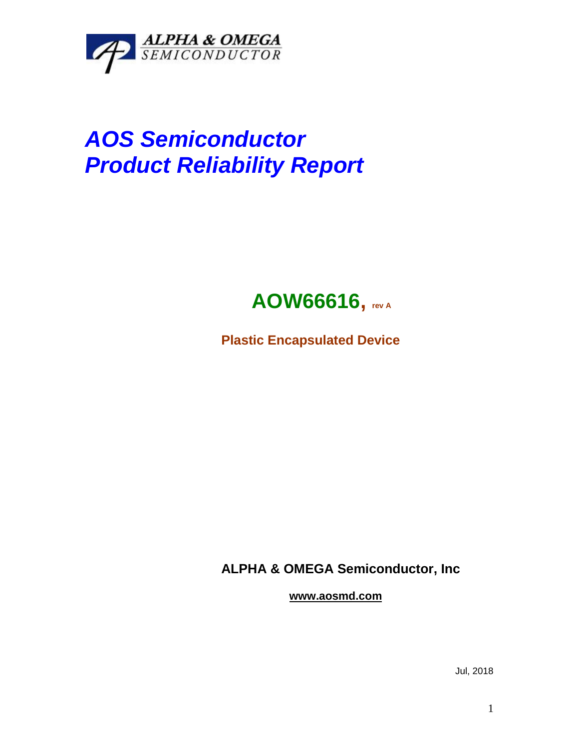

# *AOS Semiconductor Product Reliability Report*

## **AOW66616, rev <sup>A</sup>**

**Plastic Encapsulated Device**

**ALPHA & OMEGA Semiconductor, Inc**

**www.aosmd.com**

Jul, 2018